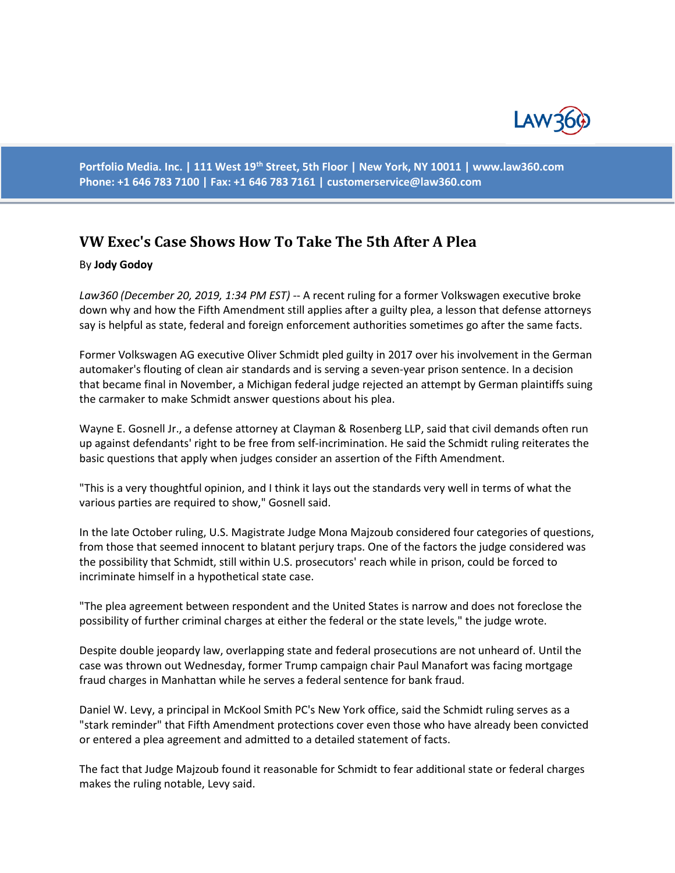

**Portfolio Media. Inc. | 111 West 19th Street, 5th Floor | New York, NY 10011 | www.law360.com Phone: +1 646 783 7100 | Fax: +1 646 783 7161 | [customerservice@law360.com](mailto:customerservice@law360.com)**

## **VW Exec's Case Shows How To Take The 5th After A Plea**

## By **Jody Godoy**

*Law360 (December 20, 2019, 1:34 PM EST)* -- A recent ruling for a former Volkswagen executive broke down why and how the Fifth Amendment still applies after a guilty plea, a lesson that defense attorneys say is helpful as state, federal and foreign enforcement authorities sometimes go after the same facts.

Former Volkswagen AG executive Oliver Schmidt pled guilty in 2017 over his involvement in the German automaker's flouting of clean air standards and is serving a seven-year prison sentence. In a decision that became final in November, a Michigan federal judge rejected an attempt by German plaintiffs suing the carmaker to make Schmidt answer questions about his plea.

Wayne E. Gosnell Jr., a defense attorney at Clayman & Rosenberg LLP, said that civil demands often run up against defendants' right to be free from self-incrimination. He said the Schmidt ruling reiterates the basic questions that apply when judges consider an assertion of the Fifth Amendment.

"This is a very thoughtful opinion, and I think it lays out the standards very well in terms of what the various parties are required to show," Gosnell said.

In the late October ruling, U.S. Magistrate Judge Mona Majzoub considered four categories of questions, from those that seemed innocent to blatant perjury traps. One of the factors the judge considered was the possibility that Schmidt, still within U.S. prosecutors' reach while in prison, could be forced to incriminate himself in a hypothetical state case.

"The plea agreement between respondent and the United States is narrow and does not foreclose the possibility of further criminal charges at either the federal or the state levels," the judge wrote.

Despite double jeopardy law, overlapping state and federal prosecutions are not unheard of. Until the case was thrown out Wednesday, former Trump campaign chair Paul Manafort was facing mortgage fraud charges in Manhattan while he serves a federal sentence for bank fraud.

Daniel W. Levy, a principal in McKool Smith PC's New York office, said the Schmidt ruling serves as a "stark reminder" that Fifth Amendment protections cover even those who have already been convicted or entered a plea agreement and admitted to a detailed statement of facts.

The fact that Judge Majzoub found it reasonable for Schmidt to fear additional state or federal charges makes the ruling notable, Levy said.